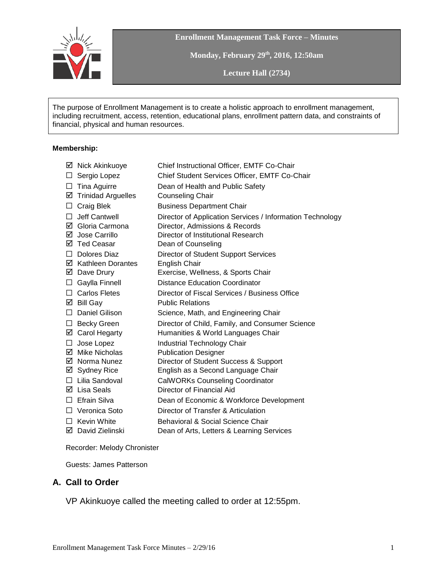

**Enrollment Management Task Force – Minutes**

**Monday, February 29th , 2016, 12:50am**

**Lecture Hall (2734)**

The purpose of Enrollment Management is to create a holistic approach to enrollment management, including recruitment, access, retention, educational plans, enrollment pattern data, and constraints of financial, physical and human resources.

#### **Membership:**

|        | ☑ Nick Akinkuoye          | Chief Instructional Officer, EMTF Co-Chair                |
|--------|---------------------------|-----------------------------------------------------------|
| $\Box$ | Sergio Lopez              | Chief Student Services Officer, EMTF Co-Chair             |
| □      | Tina Aguirre              | Dean of Health and Public Safety                          |
| ☑      | <b>Trinidad Arguelles</b> | <b>Counseling Chair</b>                                   |
| $\Box$ | <b>Craig Blek</b>         | <b>Business Department Chair</b>                          |
| □      | Jeff Cantwell             | Director of Application Services / Information Technology |
|        | ☑ Gloria Carmona          | Director, Admissions & Records                            |
|        | ☑ Jose Carrillo           | Director of Institutional Research                        |
|        | ☑ Ted Ceasar              | Dean of Counseling                                        |
|        | $\Box$ Dolores Diaz       | Director of Student Support Services                      |
|        | ☑ Kathleen Dorantes       | English Chair                                             |
|        | ☑ Dave Drury              | Exercise, Wellness, & Sports Chair                        |
| ⊔      | Gaylla Finnell            | <b>Distance Education Coordinator</b>                     |
|        | $\Box$ Carlos Fletes      | Director of Fiscal Services / Business Office             |
|        | $\boxtimes$ Bill Gay      | <b>Public Relations</b>                                   |
| $\Box$ | <b>Daniel Gilison</b>     | Science, Math, and Engineering Chair                      |
| ⊔      | <b>Becky Green</b>        | Director of Child, Family, and Consumer Science           |
|        | ☑ Carol Hegarty           | Humanities & World Languages Chair                        |
| □.     | Jose Lopez                | Industrial Technology Chair                               |
|        | ☑ Mike Nicholas           | <b>Publication Designer</b>                               |
|        | ☑ Norma Nunez             | Director of Student Success & Support                     |
|        | ⊠ Sydney Rice             | English as a Second Language Chair                        |
|        | $\Box$ Lilia Sandoval     | <b>CalWORKs Counseling Coordinator</b>                    |
|        | $\boxtimes$ Lisa Seals    | Director of Financial Aid                                 |
|        | $\Box$ Efrain Silva       | Dean of Economic & Workforce Development                  |
|        | $\Box$ Veronica Soto      | Director of Transfer & Articulation                       |
|        | $\Box$ Kevin White        | <b>Behavioral &amp; Social Science Chair</b>              |
|        | ☑ David Zielinski         | Dean of Arts, Letters & Learning Services                 |
|        |                           |                                                           |

Recorder: Melody Chronister

Guests: James Patterson

#### **A. Call to Order**

VP Akinkuoye called the meeting called to order at 12:55pm.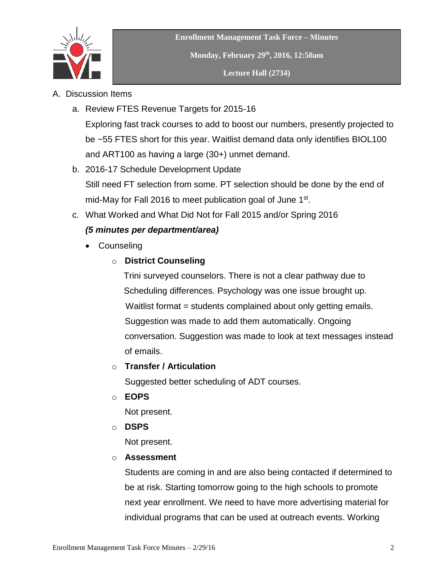

- A. Discussion Items
	- a. Review FTES Revenue Targets for 2015-16 Exploring fast track courses to add to boost our numbers, presently projected to be ~55 FTES short for this year. Waitlist demand data only identifies BIOL100 and ART100 as having a large (30+) unmet demand.
	- b. 2016-17 Schedule Development Update Still need FT selection from some. PT selection should be done by the end of mid-May for Fall 2016 to meet publication goal of June 1<sup>st</sup>.
	- c. What Worked and What Did Not for Fall 2015 and/or Spring 2016

# *(5 minutes per department/area)*

- Counseling
	- o **District Counseling**

 Trini surveyed counselors. There is not a clear pathway due to Scheduling differences. Psychology was one issue brought up. Waitlist format = students complained about only getting emails. Suggestion was made to add them automatically. Ongoing conversation. Suggestion was made to look at text messages instead of emails.

# o **Transfer / Articulation**

Suggested better scheduling of ADT courses.

o **EOPS**

Not present.

o **DSPS**

Not present.

o **Assessment**

Students are coming in and are also being contacted if determined to be at risk. Starting tomorrow going to the high schools to promote next year enrollment. We need to have more advertising material for individual programs that can be used at outreach events. Working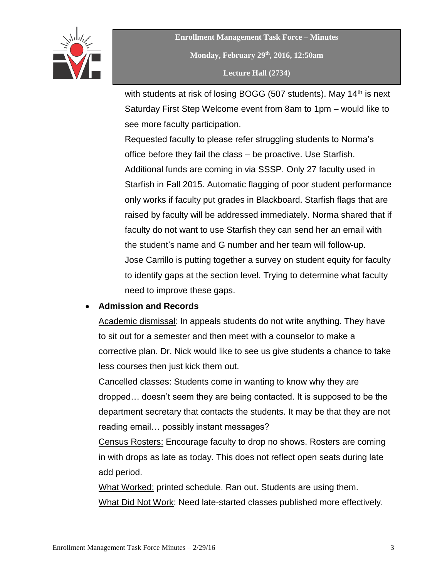

**Enrollment Management Task Force – Minutes Monday, February 29th , 2016, 12:50am Lecture Hall (2734)**

with students at risk of losing BOGG (507 students). May  $14<sup>th</sup>$  is next Saturday First Step Welcome event from 8am to 1pm – would like to see more faculty participation.

Requested faculty to please refer struggling students to Norma's office before they fail the class – be proactive. Use Starfish. Additional funds are coming in via SSSP. Only 27 faculty used in Starfish in Fall 2015. Automatic flagging of poor student performance only works if faculty put grades in Blackboard. Starfish flags that are raised by faculty will be addressed immediately. Norma shared that if faculty do not want to use Starfish they can send her an email with the student's name and G number and her team will follow-up. Jose Carrillo is putting together a survey on student equity for faculty to identify gaps at the section level. Trying to determine what faculty need to improve these gaps.

### **Admission and Records**

Academic dismissal: In appeals students do not write anything. They have to sit out for a semester and then meet with a counselor to make a corrective plan. Dr. Nick would like to see us give students a chance to take less courses then just kick them out.

Cancelled classes: Students come in wanting to know why they are dropped… doesn't seem they are being contacted. It is supposed to be the department secretary that contacts the students. It may be that they are not reading email… possibly instant messages?

Census Rosters: Encourage faculty to drop no shows. Rosters are coming in with drops as late as today. This does not reflect open seats during late add period.

What Worked: printed schedule. Ran out. Students are using them. What Did Not Work: Need late-started classes published more effectively.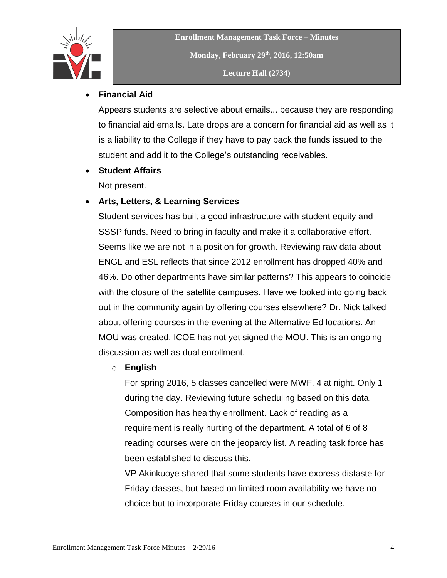

#### **Financial Aid**

Appears students are selective about emails... because they are responding to financial aid emails. Late drops are a concern for financial aid as well as it is a liability to the College if they have to pay back the funds issued to the student and add it to the College's outstanding receivables.

### **Student Affairs**

Not present.

### **Arts, Letters, & Learning Services**

Student services has built a good infrastructure with student equity and SSSP funds. Need to bring in faculty and make it a collaborative effort. Seems like we are not in a position for growth. Reviewing raw data about ENGL and ESL reflects that since 2012 enrollment has dropped 40% and 46%. Do other departments have similar patterns? This appears to coincide with the closure of the satellite campuses. Have we looked into going back out in the community again by offering courses elsewhere? Dr. Nick talked about offering courses in the evening at the Alternative Ed locations. An MOU was created. ICOE has not yet signed the MOU. This is an ongoing discussion as well as dual enrollment.

#### o **English**

For spring 2016, 5 classes cancelled were MWF, 4 at night. Only 1 during the day. Reviewing future scheduling based on this data. Composition has healthy enrollment. Lack of reading as a requirement is really hurting of the department. A total of 6 of 8 reading courses were on the jeopardy list. A reading task force has been established to discuss this.

VP Akinkuoye shared that some students have express distaste for Friday classes, but based on limited room availability we have no choice but to incorporate Friday courses in our schedule.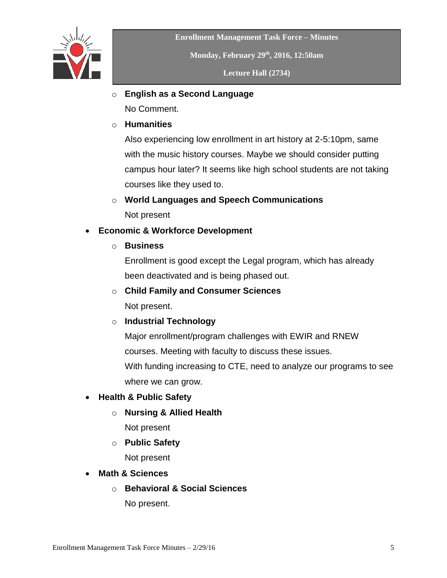

**Enrollment Management Task Force – Minutes**

**Monday, February 29th , 2016, 12:50am**

**Lecture Hall (2734)**

o **English as a Second Language**

No Comment.

o **Humanities**

Also experiencing low enrollment in art history at 2-5:10pm, same with the music history courses. Maybe we should consider putting campus hour later? It seems like high school students are not taking courses like they used to.

# o **World Languages and Speech Communications**

Not present

# **Economic & Workforce Development**

o **Business**

Enrollment is good except the Legal program, which has already been deactivated and is being phased out.

o **Child Family and Consumer Sciences**

Not present.

# o **Industrial Technology**

Major enrollment/program challenges with EWIR and RNEW courses. Meeting with faculty to discuss these issues. With funding increasing to CTE, need to analyze our programs to see

where we can grow.

- **Health & Public Safety** 
	- o **Nursing & Allied Health**

Not present

o **Public Safety**

Not present

- **Math & Sciences**
	- o **Behavioral & Social Sciences**

No present.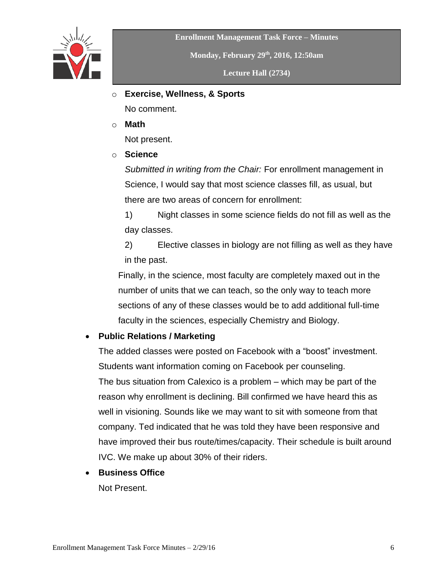

**Enrollment Management Task Force – Minutes**

**Monday, February 29th , 2016, 12:50am**

**Lecture Hall (2734)**

o **Exercise, Wellness, & Sports**

No comment.

o **Math**

Not present.

o **Science**

*Submitted in writing from the Chair:* For enrollment management in Science, I would say that most science classes fill, as usual, but there are two areas of concern for enrollment:

1) Night classes in some science fields do not fill as well as the day classes.

2) Elective classes in biology are not filling as well as they have in the past.

Finally, in the science, most faculty are completely maxed out in the number of units that we can teach, so the only way to teach more sections of any of these classes would be to add additional full-time faculty in the sciences, especially Chemistry and Biology.

# **Public Relations / Marketing**

The added classes were posted on Facebook with a "boost" investment. Students want information coming on Facebook per counseling.

The bus situation from Calexico is a problem – which may be part of the reason why enrollment is declining. Bill confirmed we have heard this as well in visioning. Sounds like we may want to sit with someone from that company. Ted indicated that he was told they have been responsive and have improved their bus route/times/capacity. Their schedule is built around IVC. We make up about 30% of their riders.

**Business Office**

Not Present.